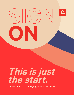# **This is just the start.**

**ON**

 $\frac{1}{\frac{1}{\sqrt{2}}}\sqrt{2}$ 

A toolkit for the ongoing fight for racial justice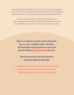This toolkit contains information to continue the work to achieve racial justice on several fronts. The tools inside will help you be more informed and engaged by taking a serious look at the injustices around us and actively combating them.

Our aim is to give you tools to act now, act meaningfully, and act more—regardless of your capacity. To direct focus to these issues with the power and influence of your voice and action, join us and do your part!

**Sign on to educate, donate, march, advocate, sign or start a petition today. Use these downloadable social graphics to share and post by linking [chng.it/](http://chng.it/toolkit)toolkit in your bio.**

**Spread awareness and stay informed using the following hashtags:**

**#JusticeBreonnaTaylor #JusticeforGeorgeFloyd #JusticeforTonyMcdade #DefundthePolice #Blacklivesmatter #blacktranslivesmatter**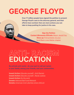## **GEORGE FLOYD**

**Over 17 million people have signed the petition to present George Floyd's case to the attorney general, and their efforts have worked. Here are more actions you can take to keep pushing for justice in his case.**

> **[Sign the Petition](https://www.change.org/p/mayor-jacob-frey-justice-for-george-floyd?source_location=discover_feed) [Contact Minnesota Officials:](http://apps.ci.minneapolis.mn.us/deptdirapp/contactdetails.aspx?contactID=3805)** Mayor Jacob Frey **Show up: Find protests via your** [local Black Lives Matter chapter](https://blacklivesmatter.com/chapters/)

## **ANTI- RACISM EDUCATION**

**Be actively anti-racist—do your part to call out racism in your family, among your friends, and your communities.**

**Inward Action:** [Educate yourself - Anti-Racism](https://education.uconn.edu/anti-racism-resources-for-students-educators-and-citizens/) **Inward Action: [Educate yourself - Racial Justice](https://centerracialjustice.org/resources/reading-lists/) [Inward Action:](https://www.theguardian.com/books/booksblog/2020/jun/03/do-the-work-an-anti-racist-reading-list-layla-f-saad)** Do the work **Donate:** [National Bail Fund Network](https://www.communityjusticeexchange.org/nbfn-directory) **Donate:** [American Civil Liberties Union \(ACLU\)](https://action.aclu.org/give/now?ms_aff=NAT&initms_aff=NAT&ms=web_horiz_nav_hp&initms=web_horiz_nav_hp&ms_chan=web&initms_chan=web&redirect=node/65102)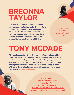## **BREONNA TAYLOR**

**Just like we showed up enmasse for George, we must continue to show up for Breonna Taylor. Currently, Louisville Police have temporarily suspended "no-knock" search warrants—but that's not enough. Here's what you can do to demand that Louisville officials call for the arrest of the police officers who killed her.**

**[Sign the Petition](https://www.change.org/p/andy-beshear-justice-for-breonna-taylor?utm_source=grow_us&utm_medium=twitter) [Contact](https://www.lfpl.org/how-to/pdf/How-to-reach-elected-officials.pdf)**  [Louisville Officials](https://www.lfpl.org/how-to/pdf/How-to-reach-elected-officials.pdf) **[Donate](https://www.gofundme.com/f/9v4q2-justice-for-breonna-taylor)**

## **TONY MCDADE**

**All Black lives matter—trans lives included. Tony McDade, a Black trans man, was shot and killed at the hands of police in Tallahassee, FL. Details surrounding his death are still unclear, but you can still use your voice to hold the officers involved accountable by signing and sharing the "Justice for Tony McDade" petition, calling Tallahassee officials to demand justice, and support Black trans lives by using the hashtag #blacktranslivesmatter.**

> **[Sign the Petition](https://www.change.org/p/justice-for-tony-mcdade) Email** [Government Officials](https://docs.google.com/document/d/1ML_sVOIiX3umM5Xf7xd1nMFa31MyCHeMwSuiTAHDtWQ/edit) **Donate:** [Tony McDade](https://www.gofundme.com/f/in-memory-of-tony-mcdade?utm_source=twitter&utm_medium=social&utm_campaign=p_cp+share-sheet) **Donate:** [The Okra Project](https://www.theokraproject.com/) **Donate:** [The Tony McDade Mental Health](https://www.instagram.com/p/CA8GE-HDbxa/) **Donate:** [Homeless Black Trans Women Fund](https://www.gofundme.com/f/homeless-black-trans-women-fund)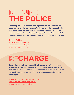## D)EFUIN **THE POLICE**

**Defunding the police means allocating resources away from police departments to other sorely underfunded parts of the community like education, social services, housing, and more. Defund12 is a crowdsourced platform dismantling racial injustice by providing you with the emails of your local government officials to contact to take this action.**

**Sign** [the Petition](https://www.change.org/search?q=Defund%20the%20police) **Email** [Government Officials](https://defund12.org/) **Donate:** [Innocence Project](https://www.innocenceproject.org/) **Read:** [The History of Policing](https://plsonline.eku.edu/insidelook/history-policing-united-states-part-1)

### **RECHARGE**

**Taking time to replenish your spirit allows you to continue to fight against injustice while taking care of your mental health. Here is a list of mental health resources curated by and for Black people in addition to a mediation app created for People of Color communities to heal and support.**

**Inward Action:** [Mental Health Resources](https://twloha.com/blog/black-lives-matter-black-mental-health-matters-too/) **Inward Action:** [Meditation Resource](https://liberatemeditation.com/) **Inward Action: [Healing and Support](http://www.deadthesilence.com/about/)**